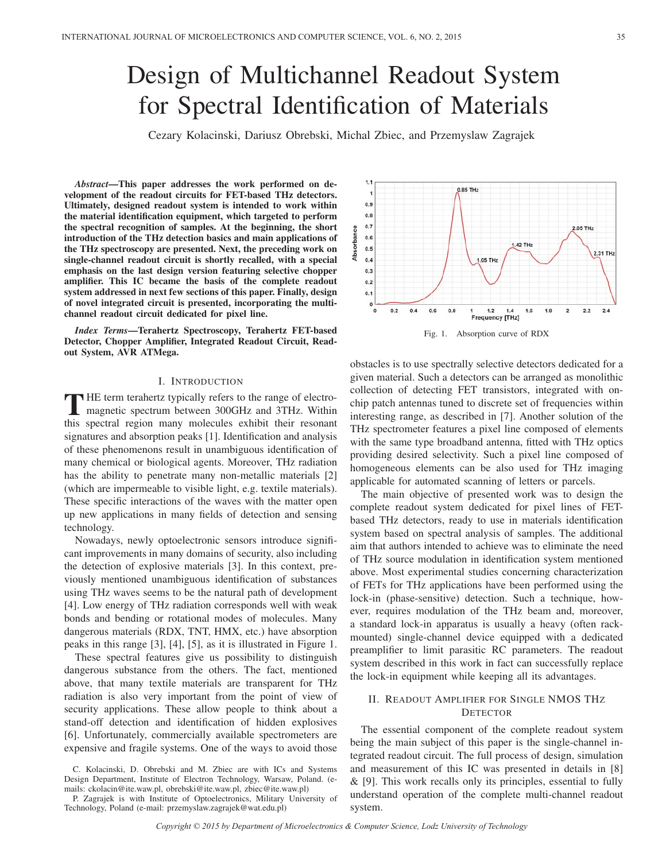# Design of Multichannel Readout System for Spectral Identification of Materials

Cezary Kolacinski, Dariusz Obrebski, Michal Zbiec, and Przemyslaw Zagrajek

*Abstract*—This paper addresses the work performed on development of the readout circuits for FET-based THz detectors. Ultimately, designed readout system is intended to work within the material identification equipment, which targeted to perform the spectral recognition of samples. At the beginning, the short introduction of the THz detection basics and main applications of the THz spectroscopy are presented. Next, the preceding work on single-channel readout circuit is shortly recalled, with a special emphasis on the last design version featuring selective chopper amplifier. This IC became the basis of the complete readout system addressed in next few sections of this paper. Finally, design of novel integrated circuit is presented, incorporating the multichannel readout circuit dedicated for pixel line.

*Index Terms*—Terahertz Spectroscopy, Terahertz FET-based Detector, Chopper Amplifier, Integrated Readout Circuit, Readout System, AVR ATMega.

#### I. INTRODUCTION

THE term terahertz typically refers to the range of electro-<br>magnetic spectrum between 300GHz and 3THz. Within<br>this greated goeing many malesules whilit their geograph this spectral region many molecules exhibit their resonant signatures and absorption peaks [1]. Identification and analysis of these phenomenons result in unambiguous identification of many chemical or biological agents. Moreover, THz radiation has the ability to penetrate many non-metallic materials [2] (which are impermeable to visible light, e.g. textile materials). These specific interactions of the waves with the matter open up new applications in many fields of detection and sensing technology.

Nowadays, newly optoelectronic sensors introduce significant improvements in many domains of security, also including the detection of explosive materials [3]. In this context, previously mentioned unambiguous identification of substances using THz waves seems to be the natural path of development [4]. Low energy of THz radiation corresponds well with weak bonds and bending or rotational modes of molecules. Many dangerous materials (RDX, TNT, HMX, etc.) have absorption peaks in this range [3], [4], [5], as it is illustrated in Figure 1.

These spectral features give us possibility to distinguish dangerous substance from the others. The fact, mentioned above, that many textile materials are transparent for THz radiation is also very important from the point of view of security applications. These allow people to think about a stand-off detection and identification of hidden explosives [6]. Unfortunately, commercially available spectrometers are expensive and fragile systems. One of the ways to avoid those



obstacles is to use spectrally selective detectors dedicated for a given material. Such a detectors can be arranged as monolithic collection of detecting FET transistors, integrated with onchip patch antennas tuned to discrete set of frequencies within interesting range, as described in [7]. Another solution of the THz spectrometer features a pixel line composed of elements with the same type broadband antenna, fitted with THz optics providing desired selectivity. Such a pixel line composed of homogeneous elements can be also used for THz imaging applicable for automated scanning of letters or parcels.

The main objective of presented work was to design the complete readout system dedicated for pixel lines of FETbased THz detectors, ready to use in materials identification system based on spectral analysis of samples. The additional aim that authors intended to achieve was to eliminate the need of THz source modulation in identification system mentioned above. Most experimental studies concerning characterization of FETs for THz applications have been performed using the lock-in (phase-sensitive) detection. Such a technique, however, requires modulation of the THz beam and, moreover, a standard lock-in apparatus is usually a heavy (often rackmounted) single-channel device equipped with a dedicated preamplifier to limit parasitic RC parameters. The readout system described in this work in fact can successfully replace the lock-in equipment while keeping all its advantages.

# II. READOUT AMPLIFIER FOR SINGLE NMOS THZ **DETECTOR**

The essential component of the complete readout system being the main subject of this paper is the single-channel integrated readout circuit. The full process of design, simulation and measurement of this IC was presented in details in [8] & [9]. This work recalls only its principles, essential to fully understand operation of the complete multi-channel readout system.

C. Kolacinski, D. Obrebski and M. Zbiec are with ICs and Systems Design Department, Institute of Electron Technology, Warsaw, Poland. (emails: ckolacin@ite.waw.pl, obrebski@ite.waw.pl, zbiec@ite.waw.pl)

P. Zagrajek is with Institute of Optoelectronics, Military University of Technology, Poland (e-mail: przemyslaw.zagrajek@wat.edu.pl)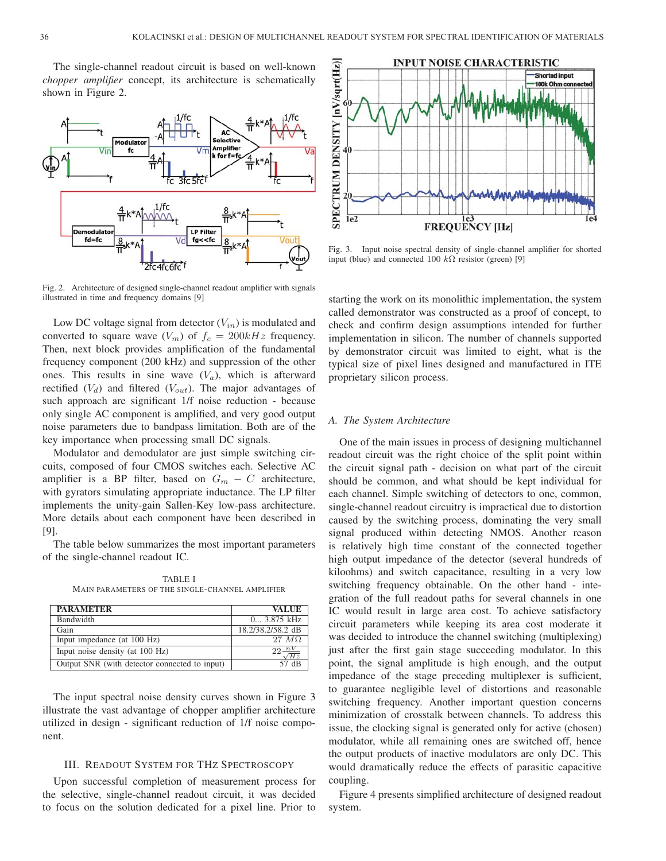The single-channel readout circuit is based on well-known *chopper amplifier* concept, its architecture is schematically shown in Figure 2.



Fig. 2. Architecture of designed single-channel readout amplifier with signals illustrated in time and frequency domains [9]

Low DC voltage signal from detector  $(V_{in})$  is modulated and converted to square wave  $(V_m)$  of  $f_c = 200kHz$  frequency. Then, next block provides amplification of the fundamental frequency component (200 kHz) and suppression of the other ones. This results in sine wave  $(V_a)$ , which is afterward rectified  $(V_d)$  and filtered  $(V_{out})$ . The major advantages of such approach are significant 1/f noise reduction - because only single AC component is amplified, and very good output noise parameters due to bandpass limitation. Both are of the key importance when processing small DC signals.

Modulator and demodulator are just simple switching circuits, composed of four CMOS switches each. Selective AC amplifier is a BP filter, based on  $G_m - C$  architecture, with gyrators simulating appropriate inductance. The LP filter implements the unity-gain Sallen-Key low-pass architecture. More details about each component have been described in [9].

The table below summarizes the most important parameters of the single-channel readout IC.

TABLE I MAIN PARAMETERS OF THE SINGLE-CHANNEL AMPLIFIER

| <b>PARAMETER</b>                              | <b>VALUE</b>      |
|-----------------------------------------------|-------------------|
| Bandwidth                                     | 0 3.875 kHz       |
| Gain                                          | 18.2/38.2/58.2 dB |
| Input impedance (at 100 Hz)                   | 27 MQ             |
| Input noise density (at 100 Hz)               | Hz                |
| Output SNR (with detector connected to input) | 57 dB             |

The input spectral noise density curves shown in Figure 3 illustrate the vast advantage of chopper amplifier architecture utilized in design - significant reduction of 1/f noise component.

## III. READOUT SYSTEM FOR THZ SPECTROSCOPY

Upon successful completion of measurement process for the selective, single-channel readout circuit, it was decided to focus on the solution dedicated for a pixel line. Prior to



Fig. 3. Input noise spectral density of single-channel amplifier for shorted input (blue) and connected 100  $k\Omega$  resistor (green) [9]

starting the work on its monolithic implementation, the system called demonstrator was constructed as a proof of concept, to check and confirm design assumptions intended for further implementation in silicon. The number of channels supported by demonstrator circuit was limited to eight, what is the typical size of pixel lines designed and manufactured in ITE proprietary silicon process.

#### *A. The System Architecture*

One of the main issues in process of designing multichannel readout circuit was the right choice of the split point within the circuit signal path - decision on what part of the circuit should be common, and what should be kept individual for each channel. Simple switching of detectors to one, common, single-channel readout circuitry is impractical due to distortion caused by the switching process, dominating the very small signal produced within detecting NMOS. Another reason is relatively high time constant of the connected together high output impedance of the detector (several hundreds of kiloohms) and switch capacitance, resulting in a very low switching frequency obtainable. On the other hand - integration of the full readout paths for several channels in one IC would result in large area cost. To achieve satisfactory circuit parameters while keeping its area cost moderate it was decided to introduce the channel switching (multiplexing) just after the first gain stage succeeding modulator. In this point, the signal amplitude is high enough, and the output impedance of the stage preceding multiplexer is sufficient, to guarantee negligible level of distortions and reasonable switching frequency. Another important question concerns minimization of crosstalk between channels. To address this issue, the clocking signal is generated only for active (chosen) modulator, while all remaining ones are switched off, hence the output products of inactive modulators are only DC. This would dramatically reduce the effects of parasitic capacitive coupling.

Figure 4 presents simplified architecture of designed readout system.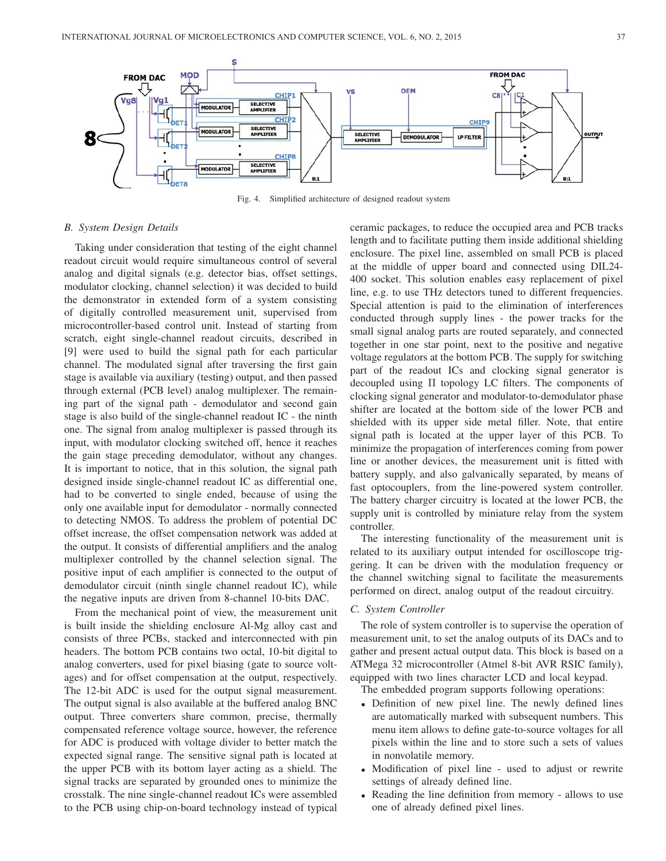

Fig. 4. Simplified architecture of designed readout system

#### *B. System Design Details*

Taking under consideration that testing of the eight channel readout circuit would require simultaneous control of several analog and digital signals (e.g. detector bias, offset settings, modulator clocking, channel selection) it was decided to build the demonstrator in extended form of a system consisting of digitally controlled measurement unit, supervised from microcontroller-based control unit. Instead of starting from scratch, eight single-channel readout circuits, described in [9] were used to build the signal path for each particular channel. The modulated signal after traversing the first gain stage is available via auxiliary (testing) output, and then passed through external (PCB level) analog multiplexer. The remaining part of the signal path - demodulator and second gain stage is also build of the single-channel readout IC - the ninth one. The signal from analog multiplexer is passed through its input, with modulator clocking switched off, hence it reaches the gain stage preceding demodulator, without any changes. It is important to notice, that in this solution, the signal path designed inside single-channel readout IC as differential one, had to be converted to single ended, because of using the only one available input for demodulator - normally connected to detecting NMOS. To address the problem of potential DC offset increase, the offset compensation network was added at the output. It consists of differential amplifiers and the analog multiplexer controlled by the channel selection signal. The positive input of each amplifier is connected to the output of demodulator circuit (ninth single channel readout IC), while the negative inputs are driven from 8-channel 10-bits DAC.

From the mechanical point of view, the measurement unit is built inside the shielding enclosure Al-Mg alloy cast and consists of three PCBs, stacked and interconnected with pin headers. The bottom PCB contains two octal, 10-bit digital to analog converters, used for pixel biasing (gate to source voltages) and for offset compensation at the output, respectively. The 12-bit ADC is used for the output signal measurement. The output signal is also available at the buffered analog BNC output. Three converters share common, precise, thermally compensated reference voltage source, however, the reference for ADC is produced with voltage divider to better match the expected signal range. The sensitive signal path is located at the upper PCB with its bottom layer acting as a shield. The signal tracks are separated by grounded ones to minimize the crosstalk. The nine single-channel readout ICs were assembled to the PCB using chip-on-board technology instead of typical

ceramic packages, to reduce the occupied area and PCB tracks length and to facilitate putting them inside additional shielding enclosure. The pixel line, assembled on small PCB is placed at the middle of upper board and connected using DIL24- 400 socket. This solution enables easy replacement of pixel line, e.g. to use THz detectors tuned to different frequencies. Special attention is paid to the elimination of interferences conducted through supply lines - the power tracks for the small signal analog parts are routed separately, and connected together in one star point, next to the positive and negative voltage regulators at the bottom PCB. The supply for switching part of the readout ICs and clocking signal generator is decoupled using Π topology LC filters. The components of clocking signal generator and modulator-to-demodulator phase shifter are located at the bottom side of the lower PCB and shielded with its upper side metal filler. Note, that entire signal path is located at the upper layer of this PCB. To minimize the propagation of interferences coming from power line or another devices, the measurement unit is fitted with battery supply, and also galvanically separated, by means of fast optocouplers, from the line-powered system controller. The battery charger circuitry is located at the lower PCB, the supply unit is controlled by miniature relay from the system controller.

The interesting functionality of the measurement unit is related to its auxiliary output intended for oscilloscope triggering. It can be driven with the modulation frequency or the channel switching signal to facilitate the measurements performed on direct, analog output of the readout circuitry.

#### *C. System Controller*

The role of system controller is to supervise the operation of measurement unit, to set the analog outputs of its DACs and to gather and present actual output data. This block is based on a ATMega 32 microcontroller (Atmel 8-bit AVR RSIC family), equipped with two lines character LCD and local keypad.

The embedded program supports following operations:

- Definition of new pixel line. The newly defined lines are automatically marked with subsequent numbers. This menu item allows to define gate-to-source voltages for all pixels within the line and to store such a sets of values in nonvolatile memory.
- Modification of pixel line used to adjust or rewrite settings of already defined line.
- Reading the line definition from memory allows to use one of already defined pixel lines.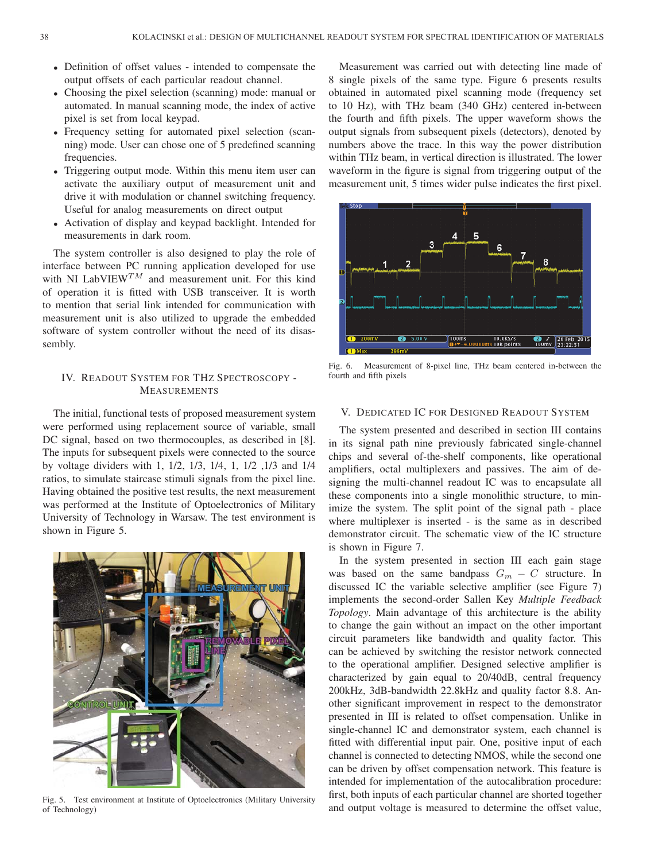- Definition of offset values intended to compensate the output offsets of each particular readout channel.
- Choosing the pixel selection (scanning) mode: manual or automated. In manual scanning mode, the index of active pixel is set from local keypad.
- Frequency setting for automated pixel selection (scanning) mode. User can chose one of 5 predefined scanning frequencies.
- Triggering output mode. Within this menu item user can activate the auxiliary output of measurement unit and drive it with modulation or channel switching frequency. Useful for analog measurements on direct output
- Activation of display and keypad backlight. Intended for measurements in dark room.

The system controller is also designed to play the role of interface between PC running application developed for use with NI LabVIEW<sup>TM</sup> and measurement unit. For this kind of operation it is fitted with USB transceiver. It is worth to mention that serial link intended for communication with measurement unit is also utilized to upgrade the embedded software of system controller without the need of its disassembly.

# IV. READOUT SYSTEM FOR THZ SPECTROSCOPY - MEASUREMENTS

The initial, functional tests of proposed measurement system were performed using replacement source of variable, small DC signal, based on two thermocouples, as described in [8]. The inputs for subsequent pixels were connected to the source by voltage dividers with 1, 1/2, 1/3, 1/4, 1, 1/2 ,1/3 and 1/4 ratios, to simulate staircase stimuli signals from the pixel line. Having obtained the positive test results, the next measurement was performed at the Institute of Optoelectronics of Military University of Technology in Warsaw. The test environment is shown in Figure 5.



Fig. 5. Test environment at Institute of Optoelectronics (Military University of Technology)

Measurement was carried out with detecting line made of 8 single pixels of the same type. Figure 6 presents results obtained in automated pixel scanning mode (frequency set to 10 Hz), with THz beam (340 GHz) centered in-between the fourth and fifth pixels. The upper waveform shows the output signals from subsequent pixels (detectors), denoted by numbers above the trace. In this way the power distribution within THz beam, in vertical direction is illustrated. The lower waveform in the figure is signal from triggering output of the measurement unit, 5 times wider pulse indicates the first pixel.



Fig. 6. Measurement of 8-pixel line, THz beam centered in-between the fourth and fifth pixels

# V. DEDICATED IC FOR DESIGNED READOUT SYSTEM

The system presented and described in section III contains in its signal path nine previously fabricated single-channel chips and several of-the-shelf components, like operational amplifiers, octal multiplexers and passives. The aim of designing the multi-channel readout IC was to encapsulate all these components into a single monolithic structure, to minimize the system. The split point of the signal path - place where multiplexer is inserted - is the same as in described demonstrator circuit. The schematic view of the IC structure is shown in Figure 7.

In the system presented in section III each gain stage was based on the same bandpass  $G_m - C$  structure. In discussed IC the variable selective amplifier (see Figure 7) implements the second-order Sallen Key *Multiple Feedback Topology*. Main advantage of this architecture is the ability to change the gain without an impact on the other important circuit parameters like bandwidth and quality factor. This can be achieved by switching the resistor network connected to the operational amplifier. Designed selective amplifier is characterized by gain equal to 20/40dB, central frequency 200kHz, 3dB-bandwidth 22.8kHz and quality factor 8.8. Another significant improvement in respect to the demonstrator presented in III is related to offset compensation. Unlike in single-channel IC and demonstrator system, each channel is fitted with differential input pair. One, positive input of each channel is connected to detecting NMOS, while the second one can be driven by offset compensation network. This feature is intended for implementation of the autocalibration procedure: first, both inputs of each particular channel are shorted together and output voltage is measured to determine the offset value,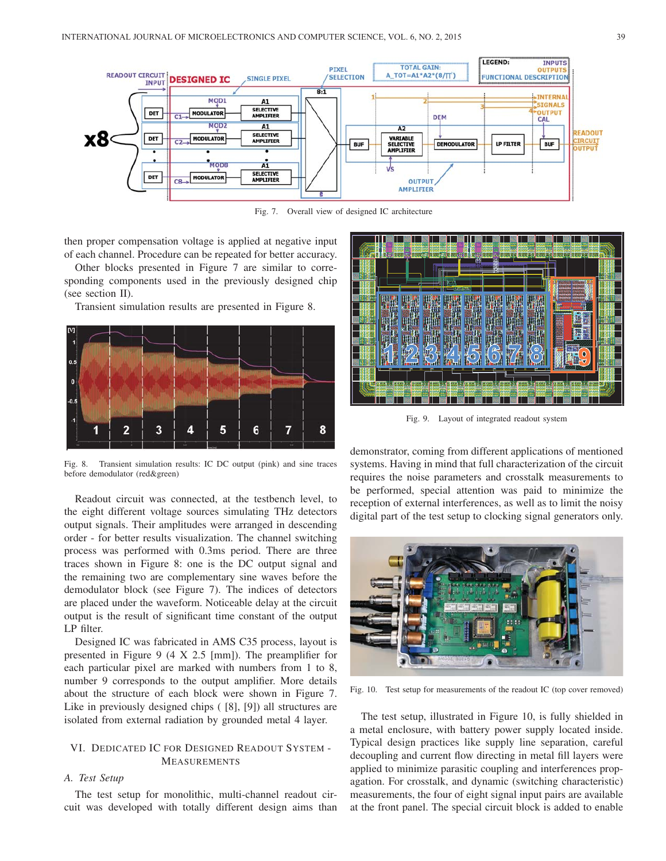

Fig. 7. Overall view of designed IC architecture

then proper compensation voltage is applied at negative input of each channel. Procedure can be repeated for better accuracy.

Other blocks presented in Figure 7 are similar to corresponding components used in the previously designed chip (see section II).

Transient simulation results are presented in Figure 8.



Fig. 8. Transient simulation results: IC DC output (pink) and sine traces before demodulator (red&green)

Readout circuit was connected, at the testbench level, to the eight different voltage sources simulating THz detectors output signals. Their amplitudes were arranged in descending order - for better results visualization. The channel switching process was performed with 0.3ms period. There are three traces shown in Figure 8: one is the DC output signal and the remaining two are complementary sine waves before the demodulator block (see Figure 7). The indices of detectors are placed under the waveform. Noticeable delay at the circuit output is the result of significant time constant of the output LP filter.

Designed IC was fabricated in AMS C35 process, layout is presented in Figure 9 (4 X 2.5 [mm]). The preamplifier for each particular pixel are marked with numbers from 1 to 8, number 9 corresponds to the output amplifier. More details about the structure of each block were shown in Figure 7. Like in previously designed chips ( [8], [9]) all structures are isolated from external radiation by grounded metal 4 layer.

# VI. DEDICATED IC FOR DESIGNED READOUT SYSTEM - MEASUREMENTS

## *A. Test Setup*

The test setup for monolithic, multi-channel readout circuit was developed with totally different design aims than



Fig. 9. Layout of integrated readout system

demonstrator, coming from different applications of mentioned systems. Having in mind that full characterization of the circuit requires the noise parameters and crosstalk measurements to be performed, special attention was paid to minimize the reception of external interferences, as well as to limit the noisy digital part of the test setup to clocking signal generators only.



Fig. 10. Test setup for measurements of the readout IC (top cover removed)

The test setup, illustrated in Figure 10, is fully shielded in a metal enclosure, with battery power supply located inside. Typical design practices like supply line separation, careful decoupling and current flow directing in metal fill layers were applied to minimize parasitic coupling and interferences propagation. For crosstalk, and dynamic (switching characteristic) measurements, the four of eight signal input pairs are available at the front panel. The special circuit block is added to enable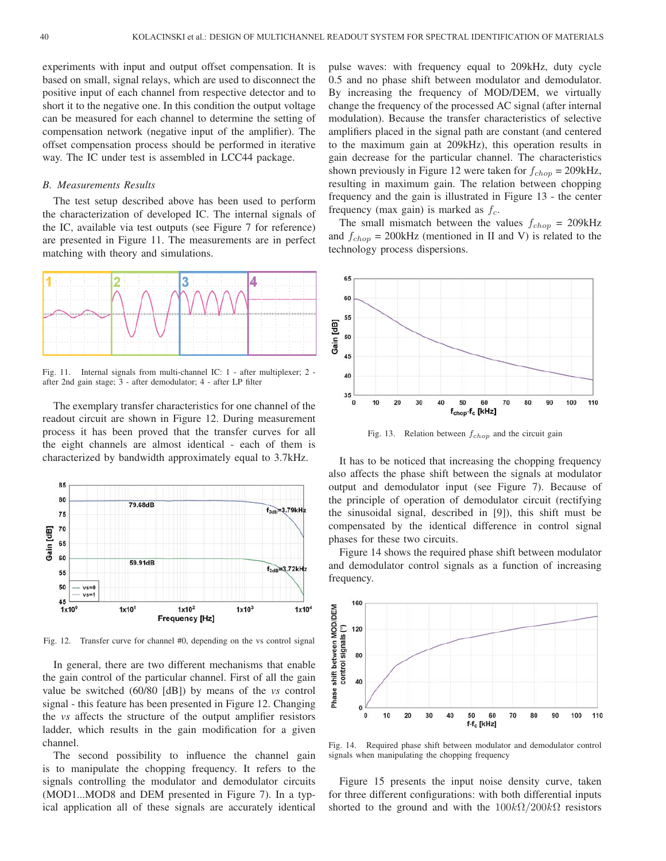experiments with input and output offset compensation. It is based on small, signal relays, which are used to disconnect the positive input of each channel from respective detector and to short it to the negative one. In this condition the output voltage can be measured for each channel to determine the setting of compensation network (negative input of the amplifier). The offset compensation process should be performed in iterative way. The IC under test is assembled in LCC44 package.

#### *B. Measurements Results*

The test setup described above has been used to perform the characterization of developed IC. The internal signals of the IC, available via test outputs (see Figure 7 for reference) are presented in Figure 11. The measurements are in perfect matching with theory and simulations.



Fig. 11. Internal signals from multi-channel IC: 1 - after multiplexer; 2 after 2nd gain stage; 3 - after demodulator; 4 - after LP filter

The exemplary transfer characteristics for one channel of the readout circuit are shown in Figure 12. During measurement process it has been proved that the transfer curves for all the eight channels are almost identical - each of them is characterized by bandwidth approximately equal to 3.7kHz.



Fig. 12. Transfer curve for channel #0, depending on the vs control signal

In general, there are two different mechanisms that enable the gain control of the particular channel. First of all the gain value be switched (60/80 [dB]) by means of the *vs* control signal - this feature has been presented in Figure 12. Changing the *vs* affects the structure of the output amplifier resistors ladder, which results in the gain modification for a given channel.

The second possibility to influence the channel gain is to manipulate the chopping frequency. It refers to the signals controlling the modulator and demodulator circuits (MOD1...MOD8 and DEM presented in Figure 7). In a typical application all of these signals are accurately identical

pulse waves: with frequency equal to 209kHz, duty cycle 0.5 and no phase shift between modulator and demodulator. By increasing the frequency of MOD/DEM, we virtually change the frequency of the processed AC signal (after internal modulation). Because the transfer characteristics of selective amplifiers placed in the signal path are constant (and centered to the maximum gain at 209kHz), this operation results in gain decrease for the particular channel. The characteristics shown previously in Figure 12 were taken for  $f_{chop} = 209kHz$ , resulting in maximum gain. The relation between chopping frequency and the gain is illustrated in Figure 13 - the center frequency (max gain) is marked as  $f_c$ .

The small mismatch between the values  $f_{chop} = 209kHz$ and  $f_{chop}$  = 200kHz (mentioned in II and V) is related to the technology process dispersions.



Fig. 13. Relation between  $f_{chop}$  and the circuit gain

It has to be noticed that increasing the chopping frequency also affects the phase shift between the signals at modulator output and demodulator input (see Figure 7). Because of the principle of operation of demodulator circuit (rectifying the sinusoidal signal, described in [9]), this shift must be compensated by the identical difference in control signal phases for these two circuits.

Figure 14 shows the required phase shift between modulator and demodulator control signals as a function of increasing frequency.



Fig. 14. Required phase shift between modulator and demodulator control signals when manipulating the chopping frequency

Figure 15 presents the input noise density curve, taken for three different configurations: with both differential inputs shorted to the ground and with the  $100k\Omega/200k\Omega$  resistors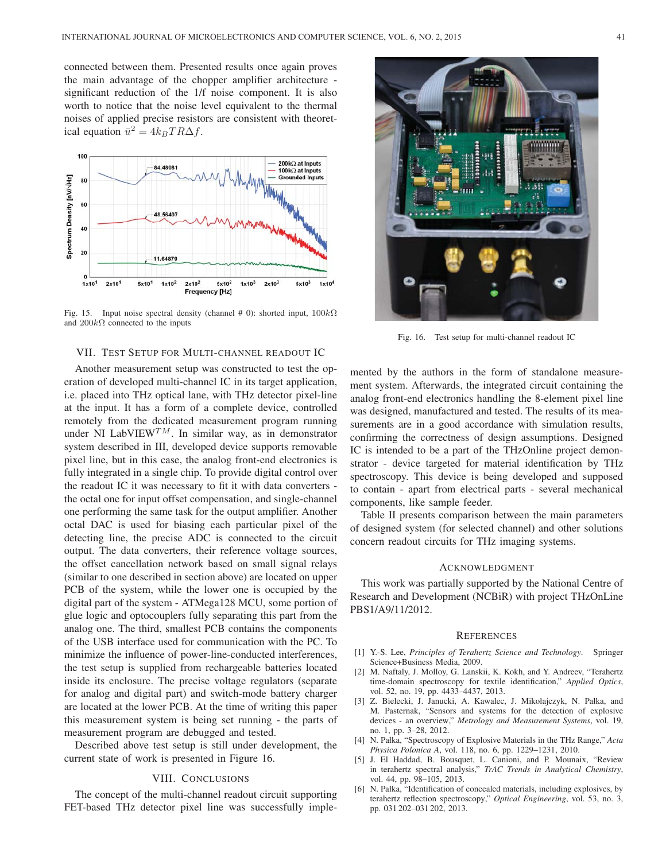connected between them. Presented results once again proves the main advantage of the chopper amplifier architecture significant reduction of the 1/f noise component. It is also worth to notice that the noise level equivalent to the thermal noises of applied precise resistors are consistent with theoretical equation  $\bar{u}^2 = 4k_BT R\Delta f$ .



Fig. 15. Input noise spectral density (channel # 0): shorted input,  $100k\Omega$ and  $200k\Omega$  connected to the inputs

# VII. TEST SETUP FOR MULTI-CHANNEL READOUT IC

Another measurement setup was constructed to test the operation of developed multi-channel IC in its target application, i.e. placed into THz optical lane, with THz detector pixel-line at the input. It has a form of a complete device, controlled remotely from the dedicated measurement program running under NI LabVIEW<sup>TM</sup>. In similar way, as in demonstrator system described in III, developed device supports removable pixel line, but in this case, the analog front-end electronics is fully integrated in a single chip. To provide digital control over the readout IC it was necessary to fit it with data converters the octal one for input offset compensation, and single-channel one performing the same task for the output amplifier. Another octal DAC is used for biasing each particular pixel of the detecting line, the precise ADC is connected to the circuit output. The data converters, their reference voltage sources, the offset cancellation network based on small signal relays (similar to one described in section above) are located on upper PCB of the system, while the lower one is occupied by the digital part of the system - ATMega128 MCU, some portion of glue logic and optocouplers fully separating this part from the analog one. The third, smallest PCB contains the components of the USB interface used for communication with the PC. To minimize the influence of power-line-conducted interferences, the test setup is supplied from rechargeable batteries located inside its enclosure. The precise voltage regulators (separate for analog and digital part) and switch-mode battery charger are located at the lower PCB. At the time of writing this paper this measurement system is being set running - the parts of measurement program are debugged and tested.

Described above test setup is still under development, the current state of work is presented in Figure 16.

## VIII. CONCLUSIONS

The concept of the multi-channel readout circuit supporting FET-based THz detector pixel line was successfully imple-



Fig. 16. Test setup for multi-channel readout IC

mented by the authors in the form of standalone measurement system. Afterwards, the integrated circuit containing the analog front-end electronics handling the 8-element pixel line was designed, manufactured and tested. The results of its measurements are in a good accordance with simulation results, confirming the correctness of design assumptions. Designed IC is intended to be a part of the THzOnline project demonstrator - device targeted for material identification by THz spectroscopy. This device is being developed and supposed to contain - apart from electrical parts - several mechanical components, like sample feeder.

Table II presents comparison between the main parameters of designed system (for selected channel) and other solutions concern readout circuits for THz imaging systems.

#### ACKNOWLEDGMENT

This work was partially supported by the National Centre of Research and Development (NCBiR) with project THzOnLine PBS1/A9/11/2012.

#### **REFERENCES**

- [1] Y.-S. Lee, *Principles of Terahertz Science and Technology*. Springer Science+Business Media, 2009.
- [2] M. Naftaly, J. Molloy, G. Lanskii, K. Kokh, and Y. Andreev, "Terahertz time-domain spectroscopy for textile identification," *Applied Optics*, vol. 52, no. 19, pp. 4433–4437, 2013.
- [3] Z. Bielecki, J. Janucki, A. Kawalec, J. Mikołajczyk, N. Pałka, and M. Pasternak, "Sensors and systems for the detection of explosive devices - an overview," *Metrology and Measurement Systems*, vol. 19, no. 1, pp. 3–28, 2012.
- [4] N. Pałka, "Spectroscopy of Explosive Materials in the THz Range," *Acta Physica Polonica A*, vol. 118, no. 6, pp. 1229–1231, 2010.
- [5] J. El Haddad, B. Bousquet, L. Canioni, and P. Mounaix, "Review in terahertz spectral analysis," *TrAC Trends in Analytical Chemistry*, vol. 44, pp. 98–105, 2013.
- [6] N. Pałka, "Identification of concealed materials, including explosives, by terahertz reflection spectroscopy," *Optical Engineering*, vol. 53, no. 3, pp. 031 202–031 202, 2013.